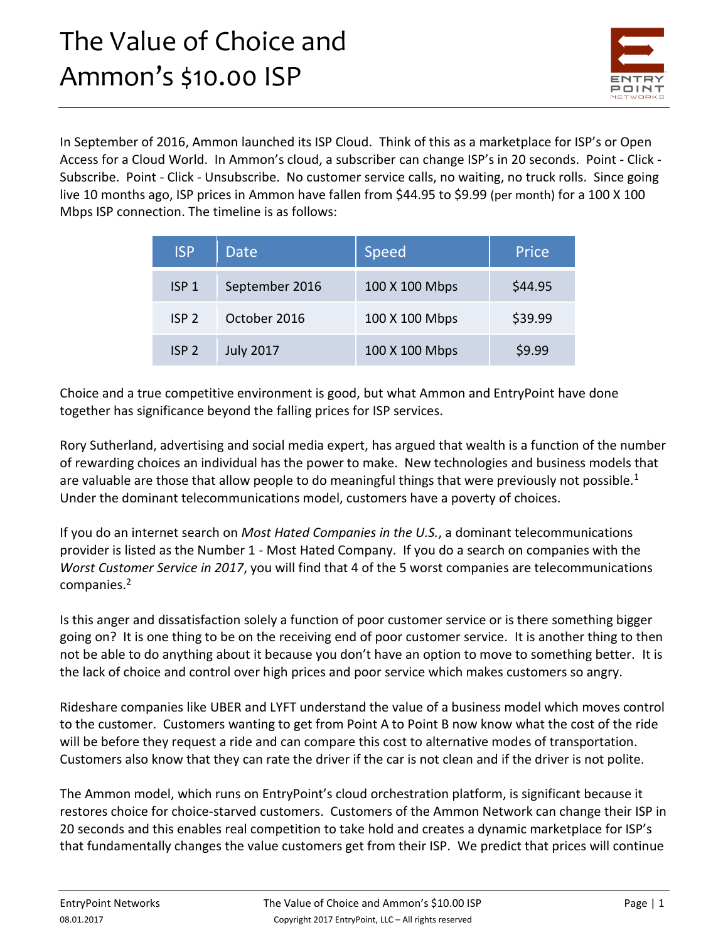

In September of 2016, Ammon launched its ISP Cloud. Think of this as a marketplace for ISP's or Open Access for a Cloud World. In Ammon's cloud, a subscriber can change ISP's in 20 seconds. Point - Click - Subscribe. Point - Click - Unsubscribe. No customer service calls, no waiting, no truck rolls. Since going live 10 months ago, ISP prices in Ammon have fallen from \$44.95 to \$9.99 (per month) for a 100 X 100 Mbps ISP connection. The timeline is as follows:

| <b>ISP</b>       | Date             | <b>Speed</b>   | Price   |
|------------------|------------------|----------------|---------|
| ISP <sub>1</sub> | September 2016   | 100 X 100 Mbps | \$44.95 |
| ISP <sub>2</sub> | October 2016     | 100 X 100 Mbps | \$39.99 |
| ISP <sub>2</sub> | <b>July 2017</b> | 100 X 100 Mbps | \$9.99  |

Choice and a true competitive environment is good, but what Ammon and EntryPoint have done together has significance beyond the falling prices for ISP services.

Rory Sutherland, advertising and social media expert, has argued that wealth is a function of the number of rewarding choices an individual has the power to make. New technologies and business models that are valuable are those that allow people to do meaningful things that were previously not possible.<sup>1</sup> Under the dominant telecommunications model, customers have a poverty of choices.

If you do an internet search on *Most Hated Companies in the U.S.*, a dominant telecommunications provider is listed as the Number 1 - Most Hated Company. If you do a search on companies with the *Worst Customer Service in 2017*, you will find that 4 of the 5 worst companies are telecommunications companies.<sup>2</sup>

Is this anger and dissatisfaction solely a function of poor customer service or is there something bigger going on? It is one thing to be on the receiving end of poor customer service. It is another thing to then not be able to do anything about it because you don't have an option to move to something better. It is the lack of choice and control over high prices and poor service which makes customers so angry.

Rideshare companies like UBER and LYFT understand the value of a business model which moves control to the customer. Customers wanting to get from Point A to Point B now know what the cost of the ride will be before they request a ride and can compare this cost to alternative modes of transportation. Customers also know that they can rate the driver if the car is not clean and if the driver is not polite.

The Ammon model, which runs on EntryPoint's cloud orchestration platform, is significant because it restores choice for choice-starved customers. Customers of the Ammon Network can change their ISP in 20 seconds and this enables real competition to take hold and creates a dynamic marketplace for ISP's that fundamentally changes the value customers get from their ISP. We predict that prices will continue